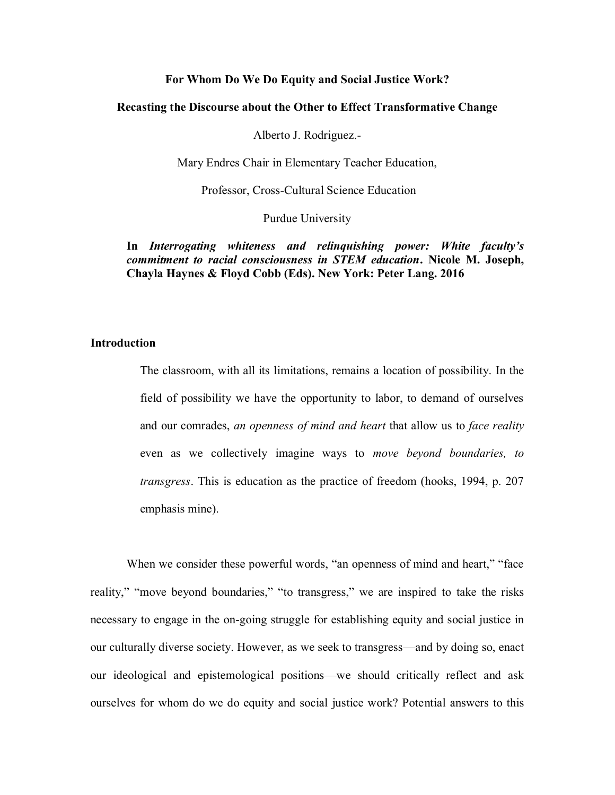## For Whom Do We Do Equity and Social Justice Work?

### Recasting the Discourse about the Other to Effect Transformative Change

Alberto J. Rodriguez.-

Mary Endres Chair in Elementary Teacher Education,

Professor, Cross-Cultural Science Education

Purdue University

In *Interrogating whiteness and relinquishing power: White faculty's commitment to racial consciousness in STEM education*. Nicole M. Joseph, Chayla Haynes & Floyd Cobb (Eds). New York: Peter Lang. 2016

# **Introduction**

The classroom, with all its limitations, remains a location of possibility. In the field of possibility we have the opportunity to labor, to demand of ourselves and our comrades, *an openness of mind and heart* that allow us to *face reality* even as we collectively imagine ways to *move beyond boundaries, to transgress*. This is education as the practice of freedom (hooks, 1994, p. 207 emphasis mine).

When we consider these powerful words, "an openness of mind and heart," "face reality," "move beyond boundaries," "to transgress," we are inspired to take the risks necessary to engage in the on-going struggle for establishing equity and social justice in our culturally diverse society. However, as we seek to transgress—and by doing so, enact our ideological and epistemological positions—we should critically reflect and ask ourselves for whom do we do equity and social justice work? Potential answers to this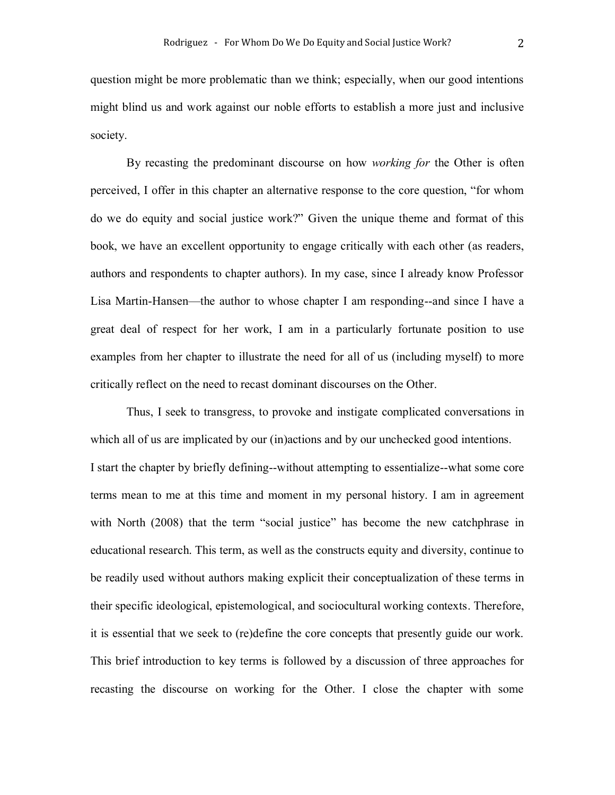question might be more problematic than we think; especially, when our good intentions might blind us and work against our noble efforts to establish a more just and inclusive society.

By recasting the predominant discourse on how *working for* the Other is often perceived, I offer in this chapter an alternative response to the core question, "for whom do we do equity and social justice work?" Given the unique theme and format of this book, we have an excellent opportunity to engage critically with each other (as readers, authors and respondents to chapter authors). In my case, since I already know Professor Lisa Martin-Hansen—the author to whose chapter I am responding--and since I have a great deal of respect for her work, I am in a particularly fortunate position to use examples from her chapter to illustrate the need for all of us (including myself) to more critically reflect on the need to recast dominant discourses on the Other.

Thus, I seek to transgress, to provoke and instigate complicated conversations in which all of us are implicated by our (in)actions and by our unchecked good intentions. I start the chapter by briefly defining--without attempting to essentialize--what some core terms mean to me at this time and moment in my personal history. I am in agreement with North (2008) that the term "social justice" has become the new catchphrase in educational research. This term, as well as the constructs equity and diversity, continue to be readily used without authors making explicit their conceptualization of these terms in their specific ideological, epistemological, and sociocultural working contexts. Therefore, it is essential that we seek to (re)define the core concepts that presently guide our work. This brief introduction to key terms is followed by a discussion of three approaches for recasting the discourse on working for the Other. I close the chapter with some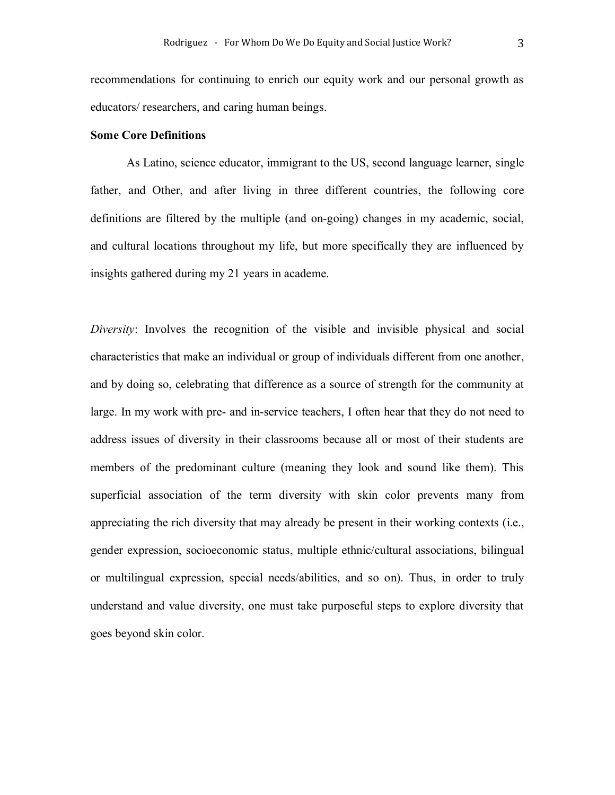recommendations for continuing to enrich our equity work and our personal growth as educators/ researchers, and caring human beings.

### Some Core Definitions

As Latino, science educator, immigrant to the US, second language learner, single father, and Other, and after living in three different countries, the following core definitions are filtered by the multiple (and on-going) changes in my academic, social, and cultural locations throughout my life, but more specifically they are influenced by insights gathered during my 21 years in academe.

*Diversity*: Involves the recognition of the visible and invisible physical and social characteristics that make an individual or group of individuals different from one another, and by doing so, celebrating that difference as a source of strength for the community at large. In my work with pre- and in-service teachers, I often hear that they do not need to address issues of diversity in their classrooms because all or most of their students are members of the predominant culture (meaning they look and sound like them). This superficial association of the term diversity with skin color prevents many from appreciating the rich diversity that may already be present in their working contexts (i.e., gender expression, socioeconomic status, multiple ethnic/cultural associations, bilingual or multilingual expression, special needs/abilities, and so on). Thus, in order to truly understand and value diversity, one must take purposeful steps to explore diversity that goes beyond skin color.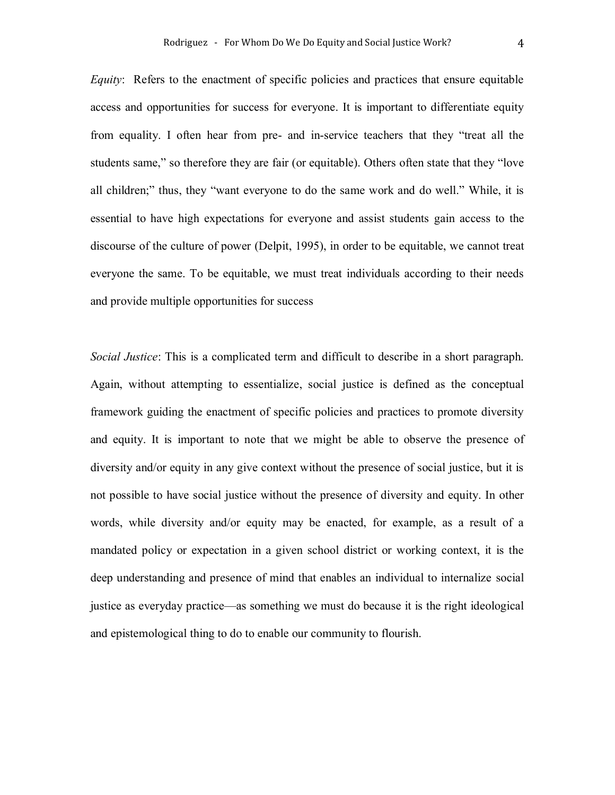*Equity*: Refers to the enactment of specific policies and practices that ensure equitable access and opportunities for success for everyone. It is important to differentiate equity from equality. I often hear from pre- and in-service teachers that they "treat all the students same," so therefore they are fair (or equitable). Others often state that they "love all children;" thus, they "want everyone to do the same work and do well." While, it is essential to have high expectations for everyone and assist students gain access to the discourse of the culture of power (Delpit, 1995), in order to be equitable, we cannot treat everyone the same. To be equitable, we must treat individuals according to their needs and provide multiple opportunities for success

*Social Justice*: This is a complicated term and difficult to describe in a short paragraph. Again, without attempting to essentialize, social justice is defined as the conceptual framework guiding the enactment of specific policies and practices to promote diversity and equity. It is important to note that we might be able to observe the presence of diversity and/or equity in any give context without the presence of social justice, but it is not possible to have social justice without the presence of diversity and equity. In other words, while diversity and/or equity may be enacted, for example, as a result of a mandated policy or expectation in a given school district or working context, it is the deep understanding and presence of mind that enables an individual to internalize social justice as everyday practice—as something we must do because it is the right ideological and epistemological thing to do to enable our community to flourish.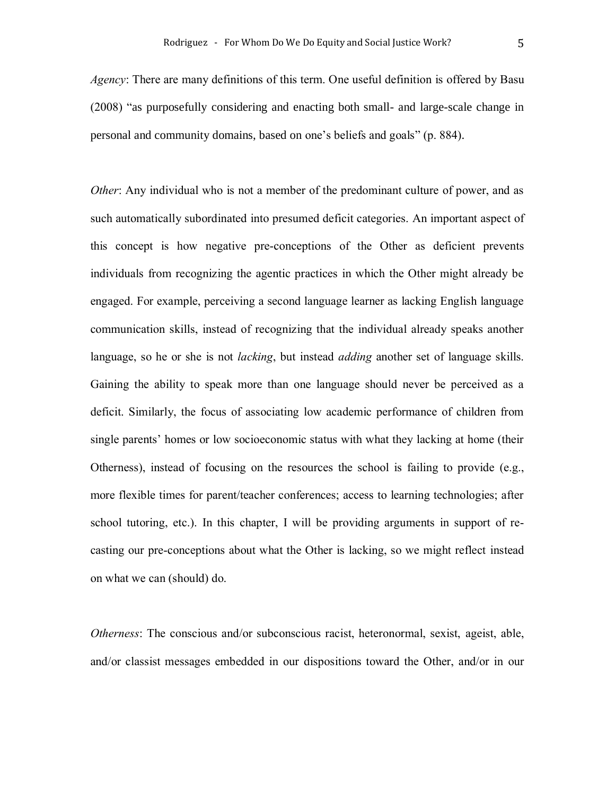*Agency*: There are many definitions of this term. One useful definition is offered by Basu (2008) "as purposefully considering and enacting both small- and large-scale change in personal and community domains, based on one's beliefs and goals" (p. 884).

*Other*: Any individual who is not a member of the predominant culture of power, and as such automatically subordinated into presumed deficit categories. An important aspect of this concept is how negative pre-conceptions of the Other as deficient prevents individuals from recognizing the agentic practices in which the Other might already be engaged. For example, perceiving a second language learner as lacking English language communication skills, instead of recognizing that the individual already speaks another language, so he or she is not *lacking*, but instead *adding* another set of language skills. Gaining the ability to speak more than one language should never be perceived as a deficit. Similarly, the focus of associating low academic performance of children from single parents' homes or low socioeconomic status with what they lacking at home (their Otherness), instead of focusing on the resources the school is failing to provide (e.g., more flexible times for parent/teacher conferences; access to learning technologies; after school tutoring, etc.). In this chapter, I will be providing arguments in support of recasting our pre-conceptions about what the Other is lacking, so we might reflect instead on what we can (should) do.

*Otherness*: The conscious and/or subconscious racist, heteronormal, sexist, ageist, able, and/or classist messages embedded in our dispositions toward the Other, and/or in our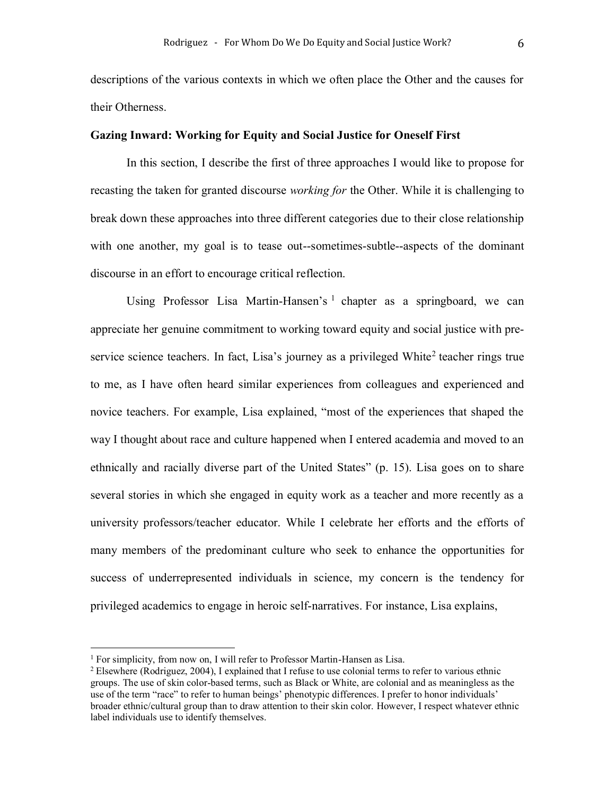descriptions of the various contexts in which we often place the Other and the causes for their Otherness.

## Gazing Inward: Working for Equity and Social Justice for Oneself First

In this section, I describe the first of three approaches I would like to propose for recasting the taken for granted discourse *working for* the Other. While it is challenging to break down these approaches into three different categories due to their close relationship with one another, my goal is to tease out--sometimes-subtle--aspects of the dominant discourse in an effort to encourage critical reflection.

Using Professor Lisa Martin-Hansen's <sup>1</sup> chapter as a springboard, we can appreciate her genuine commitment to working toward equity and social justice with preservice science teachers. In fact, Lisa's journey as a privileged White<sup>2</sup> teacher rings true to me, as I have often heard similar experiences from colleagues and experienced and novice teachers. For example, Lisa explained, "most of the experiences that shaped the way I thought about race and culture happened when I entered academia and moved to an ethnically and racially diverse part of the United States" (p. 15). Lisa goes on to share several stories in which she engaged in equity work as a teacher and more recently as a university professors/teacher educator. While I celebrate her efforts and the efforts of many members of the predominant culture who seek to enhance the opportunities for success of underrepresented individuals in science, my concern is the tendency for privileged academics to engage in heroic self-narratives. For instance, Lisa explains,

 $\overline{a}$ 

<sup>&</sup>lt;sup>1</sup> For simplicity, from now on, I will refer to Professor Martin-Hansen as Lisa.

<sup>&</sup>lt;sup>2</sup> Elsewhere (Rodriguez, 2004), I explained that I refuse to use colonial terms to refer to various ethnic groups. The use of skin color-based terms, such as Black or White, are colonial and as meaningless as the use of the term "race" to refer to human beings' phenotypic differences. I prefer to honor individuals' broader ethnic/cultural group than to draw attention to their skin color. However, I respect whatever ethnic label individuals use to identify themselves.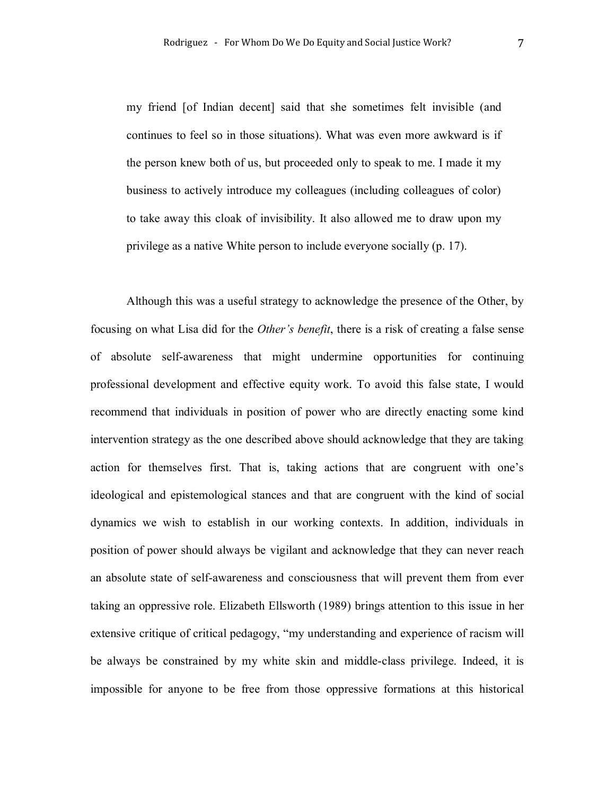my friend [of Indian decent] said that she sometimes felt invisible (and continues to feel so in those situations). What was even more awkward is if the person knew both of us, but proceeded only to speak to me. I made it my business to actively introduce my colleagues (including colleagues of color) to take away this cloak of invisibility. It also allowed me to draw upon my privilege as a native White person to include everyone socially (p. 17).

Although this was a useful strategy to acknowledge the presence of the Other, by focusing on what Lisa did for the *Other's benefit*, there is a risk of creating a false sense of absolute self-awareness that might undermine opportunities for continuing professional development and effective equity work. To avoid this false state, I would recommend that individuals in position of power who are directly enacting some kind intervention strategy as the one described above should acknowledge that they are taking action for themselves first. That is, taking actions that are congruent with one's ideological and epistemological stances and that are congruent with the kind of social dynamics we wish to establish in our working contexts. In addition, individuals in position of power should always be vigilant and acknowledge that they can never reach an absolute state of self-awareness and consciousness that will prevent them from ever taking an oppressive role. Elizabeth Ellsworth (1989) brings attention to this issue in her extensive critique of critical pedagogy, "my understanding and experience of racism will be always be constrained by my white skin and middle-class privilege. Indeed, it is impossible for anyone to be free from those oppressive formations at this historical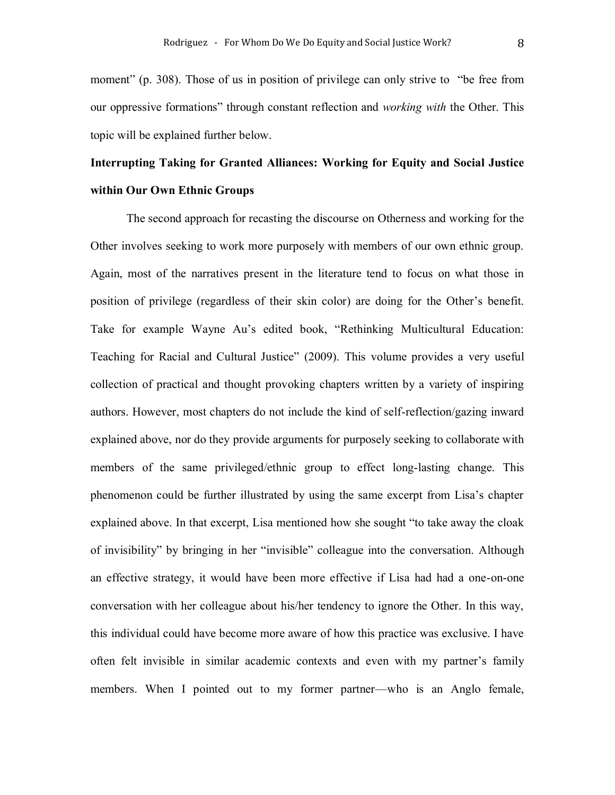moment" (p. 308). Those of us in position of privilege can only strive to "be free from our oppressive formations" through constant reflection and *working with* the Other. This topic will be explained further below.

# Interrupting Taking for Granted Alliances: Working for Equity and Social Justice within Our Own Ethnic Groups

The second approach for recasting the discourse on Otherness and working for the Other involves seeking to work more purposely with members of our own ethnic group. Again, most of the narratives present in the literature tend to focus on what those in position of privilege (regardless of their skin color) are doing for the Other's benefit. Take for example Wayne Au's edited book, "Rethinking Multicultural Education: Teaching for Racial and Cultural Justice" (2009). This volume provides a very useful collection of practical and thought provoking chapters written by a variety of inspiring authors. However, most chapters do not include the kind of self-reflection/gazing inward explained above, nor do they provide arguments for purposely seeking to collaborate with members of the same privileged/ethnic group to effect long-lasting change. This phenomenon could be further illustrated by using the same excerpt from Lisa's chapter explained above. In that excerpt, Lisa mentioned how she sought "to take away the cloak of invisibility" by bringing in her "invisible" colleague into the conversation. Although an effective strategy, it would have been more effective if Lisa had had a one-on-one conversation with her colleague about his/her tendency to ignore the Other. In this way, this individual could have become more aware of how this practice was exclusive. I have often felt invisible in similar academic contexts and even with my partner's family members. When I pointed out to my former partner—who is an Anglo female,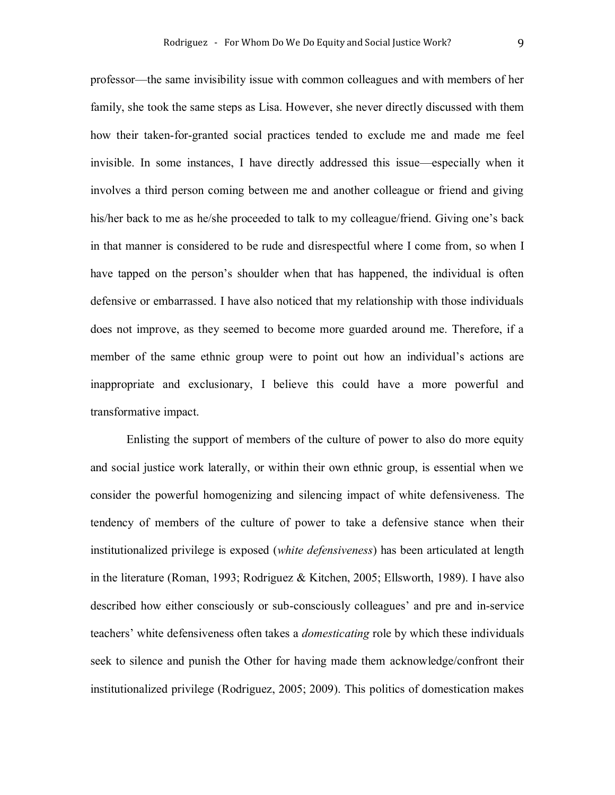professor—the same invisibility issue with common colleagues and with members of her family, she took the same steps as Lisa. However, she never directly discussed with them how their taken-for-granted social practices tended to exclude me and made me feel invisible. In some instances, I have directly addressed this issue—especially when it involves a third person coming between me and another colleague or friend and giving his/her back to me as he/she proceeded to talk to my colleague/friend. Giving one's back in that manner is considered to be rude and disrespectful where I come from, so when I have tapped on the person's shoulder when that has happened, the individual is often defensive or embarrassed. I have also noticed that my relationship with those individuals does not improve, as they seemed to become more guarded around me. Therefore, if a member of the same ethnic group were to point out how an individual's actions are inappropriate and exclusionary, I believe this could have a more powerful and transformative impact.

Enlisting the support of members of the culture of power to also do more equity and social justice work laterally, or within their own ethnic group, is essential when we consider the powerful homogenizing and silencing impact of white defensiveness. The tendency of members of the culture of power to take a defensive stance when their institutionalized privilege is exposed (*white defensiveness*) has been articulated at length in the literature (Roman, 1993; Rodriguez & Kitchen, 2005; Ellsworth, 1989). I have also described how either consciously or sub-consciously colleagues' and pre and in-service teachers' white defensiveness often takes a *domesticating* role by which these individuals seek to silence and punish the Other for having made them acknowledge/confront their institutionalized privilege (Rodriguez, 2005; 2009). This politics of domestication makes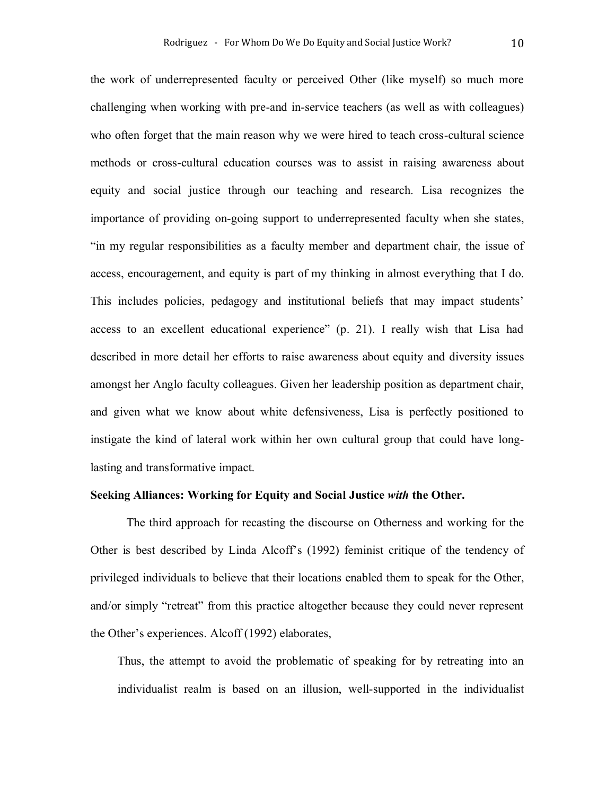the work of underrepresented faculty or perceived Other (like myself) so much more challenging when working with pre-and in-service teachers (as well as with colleagues) who often forget that the main reason why we were hired to teach cross-cultural science methods or cross-cultural education courses was to assist in raising awareness about equity and social justice through our teaching and research. Lisa recognizes the importance of providing on-going support to underrepresented faculty when she states, "in my regular responsibilities as a faculty member and department chair, the issue of access, encouragement, and equity is part of my thinking in almost everything that I do. This includes policies, pedagogy and institutional beliefs that may impact students' access to an excellent educational experience" (p. 21). I really wish that Lisa had described in more detail her efforts to raise awareness about equity and diversity issues amongst her Anglo faculty colleagues. Given her leadership position as department chair, and given what we know about white defensiveness, Lisa is perfectly positioned to instigate the kind of lateral work within her own cultural group that could have longlasting and transformative impact.

### Seeking Alliances: Working for Equity and Social Justice *with* the Other.

The third approach for recasting the discourse on Otherness and working for the Other is best described by Linda Alcoff's (1992) feminist critique of the tendency of privileged individuals to believe that their locations enabled them to speak for the Other, and/or simply "retreat" from this practice altogether because they could never represent the Other's experiences. Alcoff (1992) elaborates,

Thus, the attempt to avoid the problematic of speaking for by retreating into an individualist realm is based on an illusion, well-supported in the individualist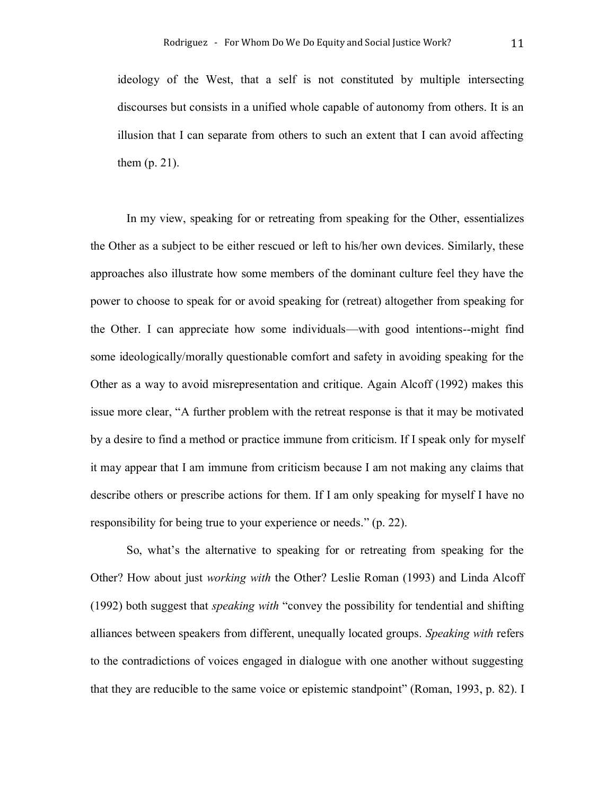ideology of the West, that a self is not constituted by multiple intersecting discourses but consists in a unified whole capable of autonomy from others. It is an illusion that I can separate from others to such an extent that I can avoid affecting them (p. 21).

In my view, speaking for or retreating from speaking for the Other, essentializes the Other as a subject to be either rescued or left to his/her own devices. Similarly, these approaches also illustrate how some members of the dominant culture feel they have the power to choose to speak for or avoid speaking for (retreat) altogether from speaking for the Other. I can appreciate how some individuals—with good intentions--might find some ideologically/morally questionable comfort and safety in avoiding speaking for the Other as a way to avoid misrepresentation and critique. Again Alcoff (1992) makes this issue more clear, "A further problem with the retreat response is that it may be motivated by a desire to find a method or practice immune from criticism. If I speak only for myself it may appear that I am immune from criticism because I am not making any claims that describe others or prescribe actions for them. If I am only speaking for myself I have no responsibility for being true to your experience or needs." (p. 22).

So, what's the alternative to speaking for or retreating from speaking for the Other? How about just *working with* the Other? Leslie Roman (1993) and Linda Alcoff (1992) both suggest that *speaking with* "convey the possibility for tendential and shifting alliances between speakers from different, unequally located groups. *Speaking with* refers to the contradictions of voices engaged in dialogue with one another without suggesting that they are reducible to the same voice or epistemic standpoint" (Roman, 1993, p. 82). I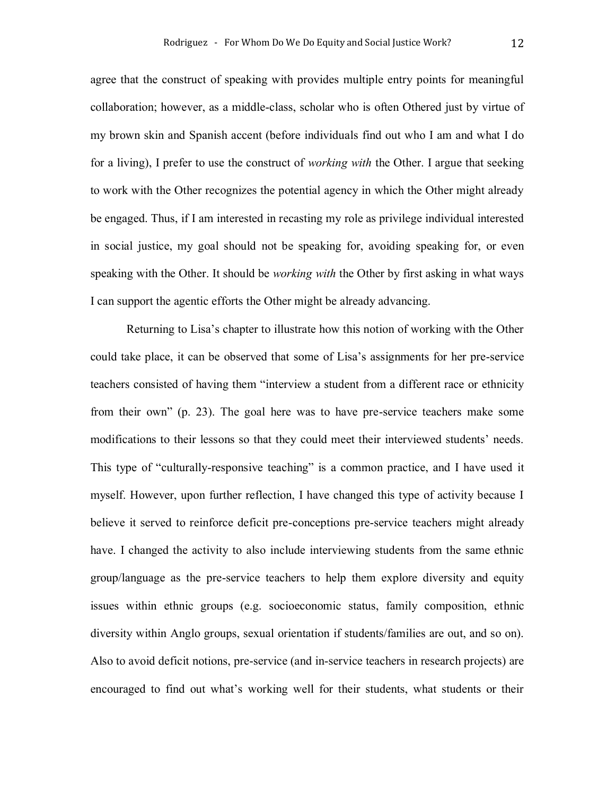agree that the construct of speaking with provides multiple entry points for meaningful collaboration; however, as a middle-class, scholar who is often Othered just by virtue of my brown skin and Spanish accent (before individuals find out who I am and what I do for a living), I prefer to use the construct of *working with* the Other. I argue that seeking to work with the Other recognizes the potential agency in which the Other might already be engaged. Thus, if I am interested in recasting my role as privilege individual interested in social justice, my goal should not be speaking for, avoiding speaking for, or even speaking with the Other. It should be *working with* the Other by first asking in what ways I can support the agentic efforts the Other might be already advancing.

Returning to Lisa's chapter to illustrate how this notion of working with the Other could take place, it can be observed that some of Lisa's assignments for her pre-service teachers consisted of having them "interview a student from a different race or ethnicity from their own" (p. 23). The goal here was to have pre-service teachers make some modifications to their lessons so that they could meet their interviewed students' needs. This type of "culturally-responsive teaching" is a common practice, and I have used it myself. However, upon further reflection, I have changed this type of activity because I believe it served to reinforce deficit pre-conceptions pre-service teachers might already have. I changed the activity to also include interviewing students from the same ethnic group/language as the pre-service teachers to help them explore diversity and equity issues within ethnic groups (e.g. socioeconomic status, family composition, ethnic diversity within Anglo groups, sexual orientation if students/families are out, and so on). Also to avoid deficit notions, pre-service (and in-service teachers in research projects) are encouraged to find out what's working well for their students, what students or their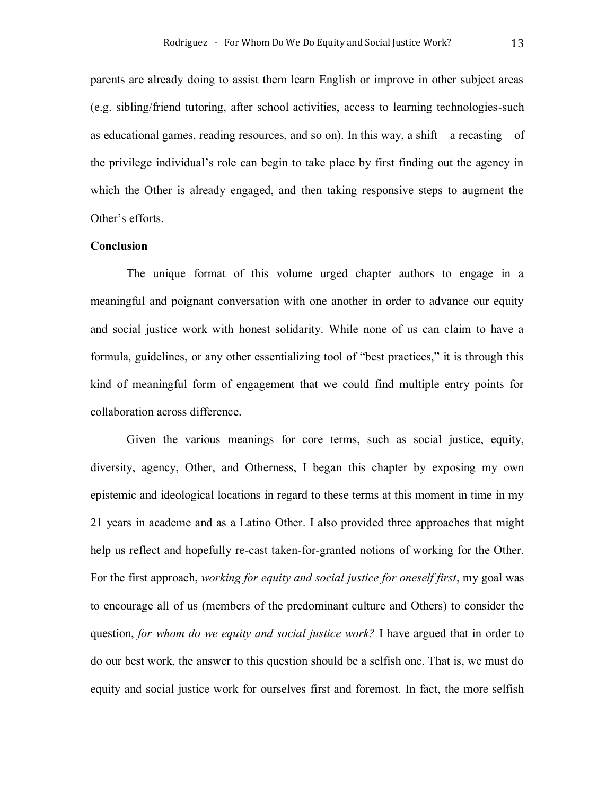parents are already doing to assist them learn English or improve in other subject areas (e.g. sibling/friend tutoring, after school activities, access to learning technologies-such as educational games, reading resources, and so on). In this way, a shift—a recasting—of the privilege individual's role can begin to take place by first finding out the agency in which the Other is already engaged, and then taking responsive steps to augment the Other's efforts.

# Conclusion

The unique format of this volume urged chapter authors to engage in a meaningful and poignant conversation with one another in order to advance our equity and social justice work with honest solidarity. While none of us can claim to have a formula, guidelines, or any other essentializing tool of "best practices," it is through this kind of meaningful form of engagement that we could find multiple entry points for collaboration across difference.

Given the various meanings for core terms, such as social justice, equity, diversity, agency, Other, and Otherness, I began this chapter by exposing my own epistemic and ideological locations in regard to these terms at this moment in time in my 21 years in academe and as a Latino Other. I also provided three approaches that might help us reflect and hopefully re-cast taken-for-granted notions of working for the Other. For the first approach, *working for equity and social justice for oneself first*, my goal was to encourage all of us (members of the predominant culture and Others) to consider the question, *for whom do we equity and social justice work?* I have argued that in order to do our best work, the answer to this question should be a selfish one. That is, we must do equity and social justice work for ourselves first and foremost. In fact, the more selfish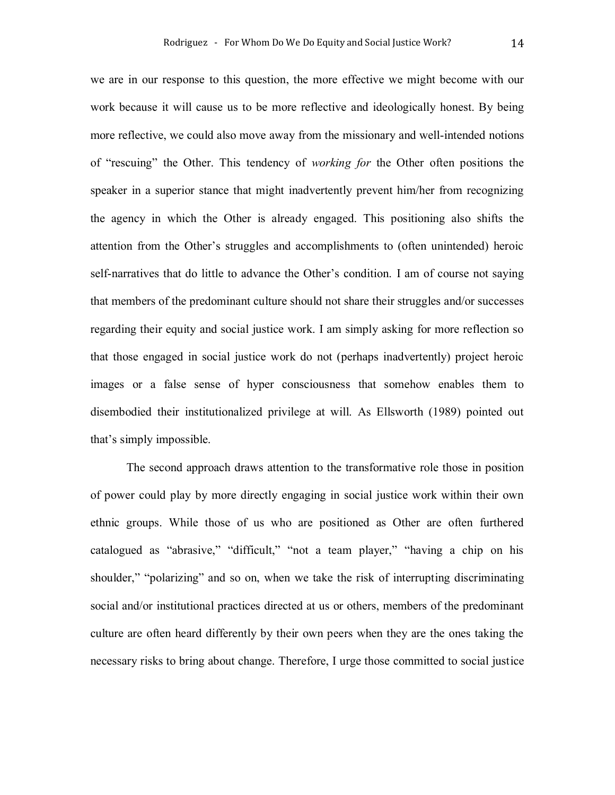we are in our response to this question, the more effective we might become with our work because it will cause us to be more reflective and ideologically honest. By being more reflective, we could also move away from the missionary and well-intended notions of "rescuing" the Other. This tendency of *working for* the Other often positions the speaker in a superior stance that might inadvertently prevent him/her from recognizing the agency in which the Other is already engaged. This positioning also shifts the attention from the Other's struggles and accomplishments to (often unintended) heroic self-narratives that do little to advance the Other's condition. I am of course not saying that members of the predominant culture should not share their struggles and/or successes regarding their equity and social justice work. I am simply asking for more reflection so that those engaged in social justice work do not (perhaps inadvertently) project heroic images or a false sense of hyper consciousness that somehow enables them to disembodied their institutionalized privilege at will. As Ellsworth (1989) pointed out that's simply impossible.

The second approach draws attention to the transformative role those in position of power could play by more directly engaging in social justice work within their own ethnic groups. While those of us who are positioned as Other are often furthered catalogued as "abrasive," "difficult," "not a team player," "having a chip on his shoulder," "polarizing" and so on, when we take the risk of interrupting discriminating social and/or institutional practices directed at us or others, members of the predominant culture are often heard differently by their own peers when they are the ones taking the necessary risks to bring about change. Therefore, I urge those committed to social justice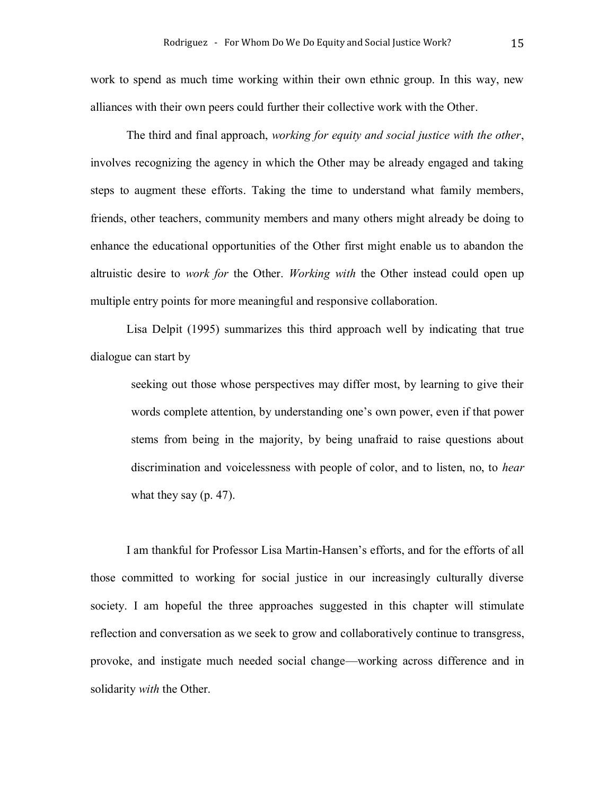work to spend as much time working within their own ethnic group. In this way, new alliances with their own peers could further their collective work with the Other.

The third and final approach, *working for equity and social justice with the other*, involves recognizing the agency in which the Other may be already engaged and taking steps to augment these efforts. Taking the time to understand what family members, friends, other teachers, community members and many others might already be doing to enhance the educational opportunities of the Other first might enable us to abandon the altruistic desire to *work for* the Other. *Working with* the Other instead could open up multiple entry points for more meaningful and responsive collaboration.

Lisa Delpit (1995) summarizes this third approach well by indicating that true dialogue can start by

seeking out those whose perspectives may differ most, by learning to give their words complete attention, by understanding one's own power, even if that power stems from being in the majority, by being unafraid to raise questions about discrimination and voicelessness with people of color, and to listen, no, to *hear* what they say (p. 47).

I am thankful for Professor Lisa Martin-Hansen's efforts, and for the efforts of all those committed to working for social justice in our increasingly culturally diverse society. I am hopeful the three approaches suggested in this chapter will stimulate reflection and conversation as we seek to grow and collaboratively continue to transgress, provoke, and instigate much needed social change—working across difference and in solidarity *with* the Other.